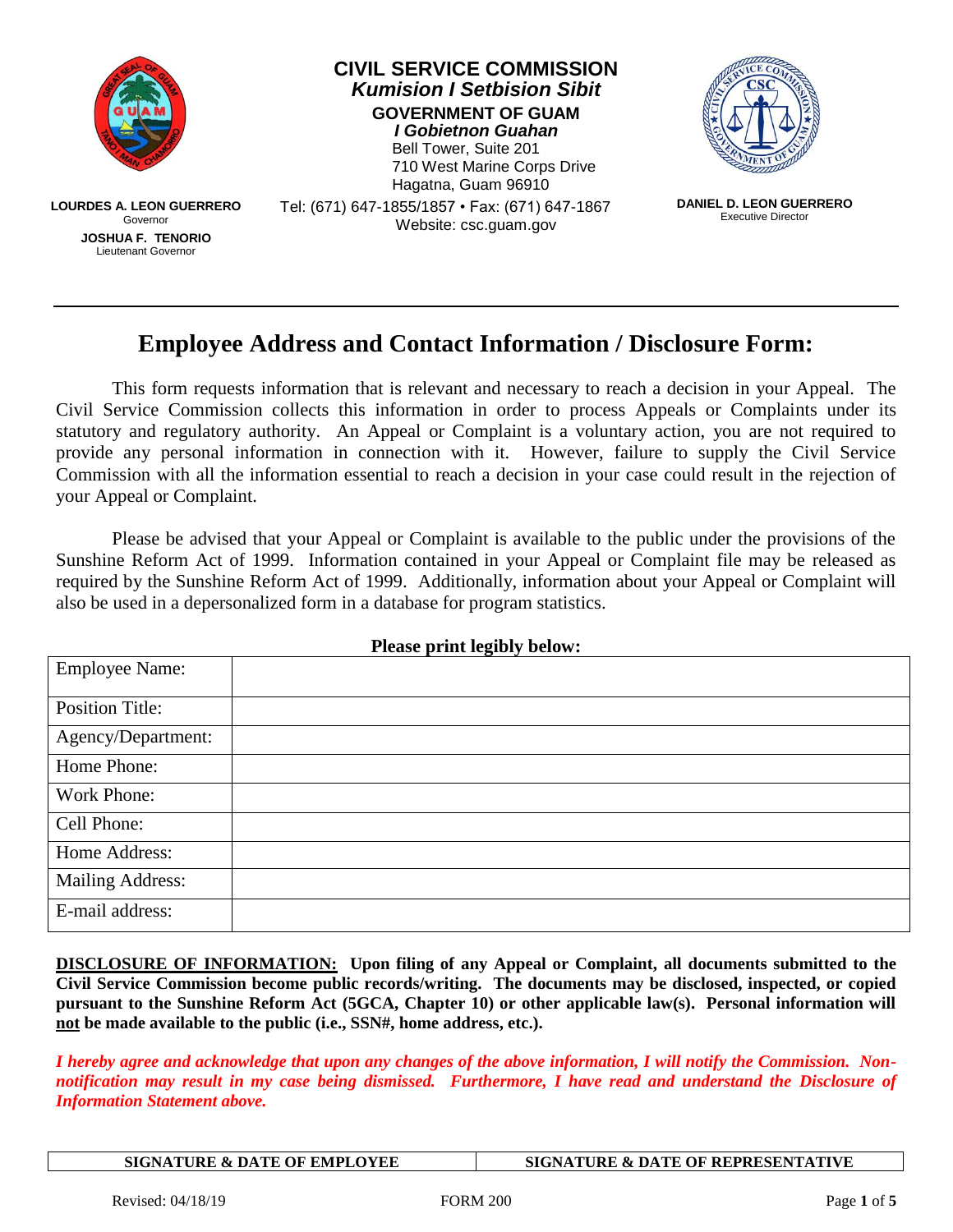

## **Employee Address and Contact Information / Disclosure Form:**

This form requests information that is relevant and necessary to reach a decision in your Appeal. The Civil Service Commission collects this information in order to process Appeals or Complaints under its statutory and regulatory authority. An Appeal or Complaint is a voluntary action, you are not required to provide any personal information in connection with it. However, failure to supply the Civil Service Commission with all the information essential to reach a decision in your case could result in the rejection of your Appeal or Complaint.

Please be advised that your Appeal or Complaint is available to the public under the provisions of the Sunshine Reform Act of 1999. Information contained in your Appeal or Complaint file may be released as required by the Sunshine Reform Act of 1999. Additionally, information about your Appeal or Complaint will also be used in a depersonalized form in a database for program statistics.

| Trease print regiony octom. |  |  |  |  |
|-----------------------------|--|--|--|--|
| <b>Employee Name:</b>       |  |  |  |  |
| <b>Position Title:</b>      |  |  |  |  |
| Agency/Department:          |  |  |  |  |
| Home Phone:                 |  |  |  |  |
| Work Phone:                 |  |  |  |  |
| Cell Phone:                 |  |  |  |  |
| Home Address:               |  |  |  |  |
| <b>Mailing Address:</b>     |  |  |  |  |
| E-mail address:             |  |  |  |  |

#### **Please print legibly below:**

**DISCLOSURE OF INFORMATION: Upon filing of any Appeal or Complaint, all documents submitted to the Civil Service Commission become public records/writing. The documents may be disclosed, inspected, or copied pursuant to the Sunshine Reform Act (5GCA, Chapter 10) or other applicable law(s). Personal information will not be made available to the public (i.e., SSN#, home address, etc.).**

*I hereby agree and acknowledge that upon any changes of the above information, I will notify the Commission. Nonnotification may result in my case being dismissed. Furthermore, I have read and understand the Disclosure of Information Statement above.*

**SIGNATURE & DATE OF EMPLOYEE SIGNATURE & DATE OF REPRESENTATIVE**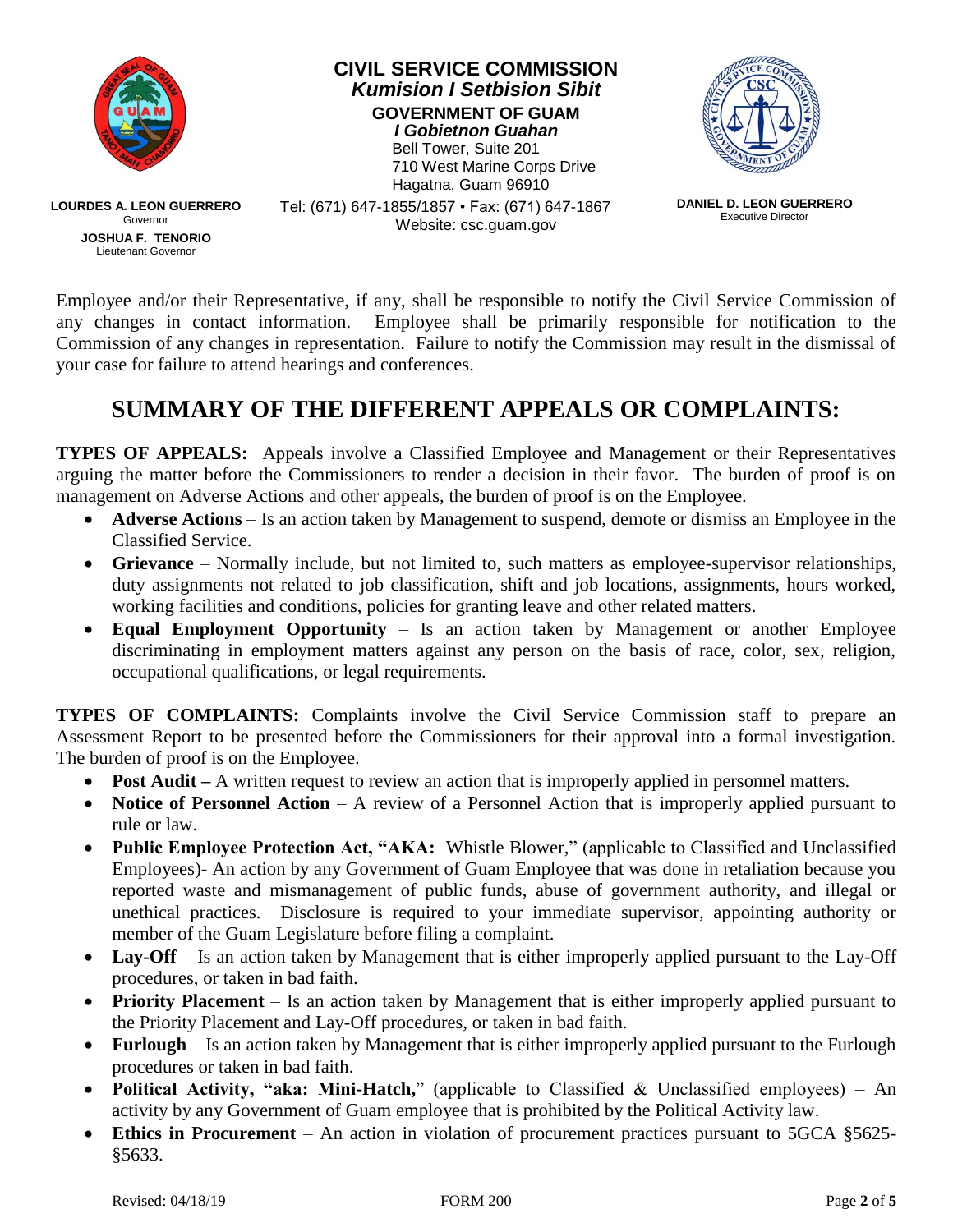

Employee and/or their Representative, if any, shall be responsible to notify the Civil Service Commission of any changes in contact information. Employee shall be primarily responsible for notification to the Commission of any changes in representation. Failure to notify the Commission may result in the dismissal of your case for failure to attend hearings and conferences.

## **SUMMARY OF THE DIFFERENT APPEALS OR COMPLAINTS:**

**TYPES OF APPEALS:** Appeals involve a Classified Employee and Management or their Representatives arguing the matter before the Commissioners to render a decision in their favor. The burden of proof is on management on Adverse Actions and other appeals, the burden of proof is on the Employee.

- **Adverse Actions** Is an action taken by Management to suspend, demote or dismiss an Employee in the Classified Service.
- **Grievance** Normally include, but not limited to, such matters as employee-supervisor relationships, duty assignments not related to job classification, shift and job locations, assignments, hours worked, working facilities and conditions, policies for granting leave and other related matters.
- **Equal Employment Opportunity** Is an action taken by Management or another Employee discriminating in employment matters against any person on the basis of race, color, sex, religion, occupational qualifications, or legal requirements.

**TYPES OF COMPLAINTS:** Complaints involve the Civil Service Commission staff to prepare an Assessment Report to be presented before the Commissioners for their approval into a formal investigation. The burden of proof is on the Employee.

- **Post Audit** A written request to review an action that is improperly applied in personnel matters.
- **Notice of Personnel Action** A review of a Personnel Action that is improperly applied pursuant to rule or law.
- **Public Employee Protection Act, "AKA:** Whistle Blower," (applicable to Classified and Unclassified Employees)- An action by any Government of Guam Employee that was done in retaliation because you reported waste and mismanagement of public funds, abuse of government authority, and illegal or unethical practices. Disclosure is required to your immediate supervisor, appointing authority or member of the Guam Legislature before filing a complaint.
- Lay-Off Is an action taken by Management that is either improperly applied pursuant to the Lay-Off procedures, or taken in bad faith.
- **Priority Placement** Is an action taken by Management that is either improperly applied pursuant to the Priority Placement and Lay-Off procedures, or taken in bad faith.
- **Furlough** Is an action taken by Management that is either improperly applied pursuant to the Furlough procedures or taken in bad faith.
- **Political Activity, "aka: Mini-Hatch,**" (applicable to Classified & Unclassified employees) An activity by any Government of Guam employee that is prohibited by the Political Activity law.
- **Ethics in Procurement** An action in violation of procurement practices pursuant to 5GCA §5625-§5633.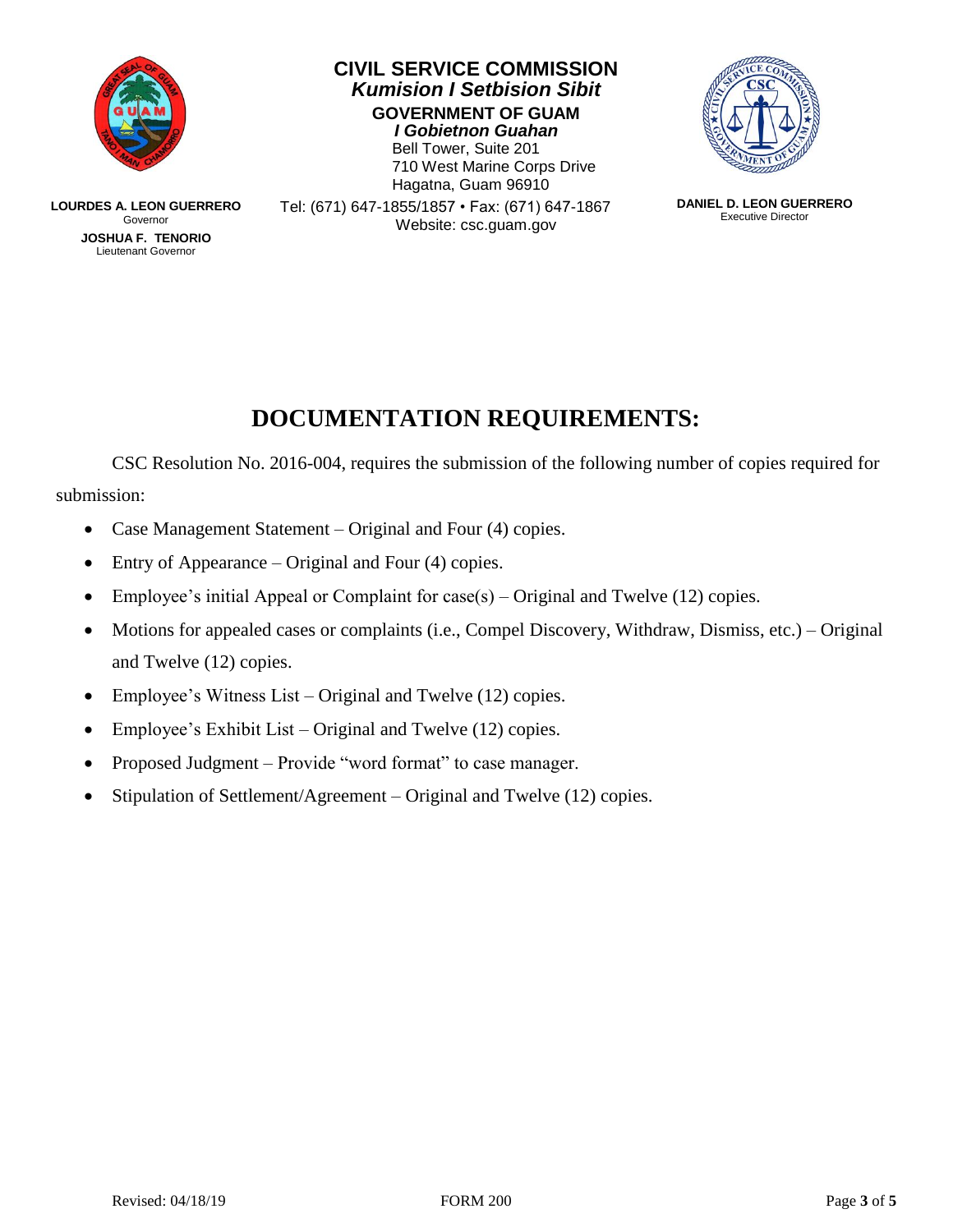

**LOURDES A. LEON GUERRERO** Governor **JOSHUA F. TENORIO** Lieutenant Governor

**CIVIL SERVICE COMMISSION** *Kumision I Setbision Sibit* **GOVERNMENT OF GUAM** *I Gobietnon Guahan*

Bell Tower, Suite 201 710 West Marine Corps Drive Hagatna, Guam 96910



Tel: (671) 647-1855/1857 • Fax: (671) 647-1867 Website: csc.guam.gov

**DANIEL D. LEON GUERRERO** Executive Director

# **DOCUMENTATION REQUIREMENTS:**

CSC Resolution No. 2016-004, requires the submission of the following number of copies required for submission:

- Case Management Statement Original and Four (4) copies.
- Entry of Appearance Original and Four (4) copies.
- Employee's initial Appeal or Complaint for  $case(s)$  Original and Twelve (12) copies.
- Motions for appealed cases or complaints (i.e., Compel Discovery, Withdraw, Dismiss, etc.) Original and Twelve (12) copies.
- Employee's Witness List Original and Twelve (12) copies.
- Employee's Exhibit List Original and Twelve (12) copies.
- Proposed Judgment Provide "word format" to case manager.
- Stipulation of Settlement/Agreement Original and Twelve (12) copies.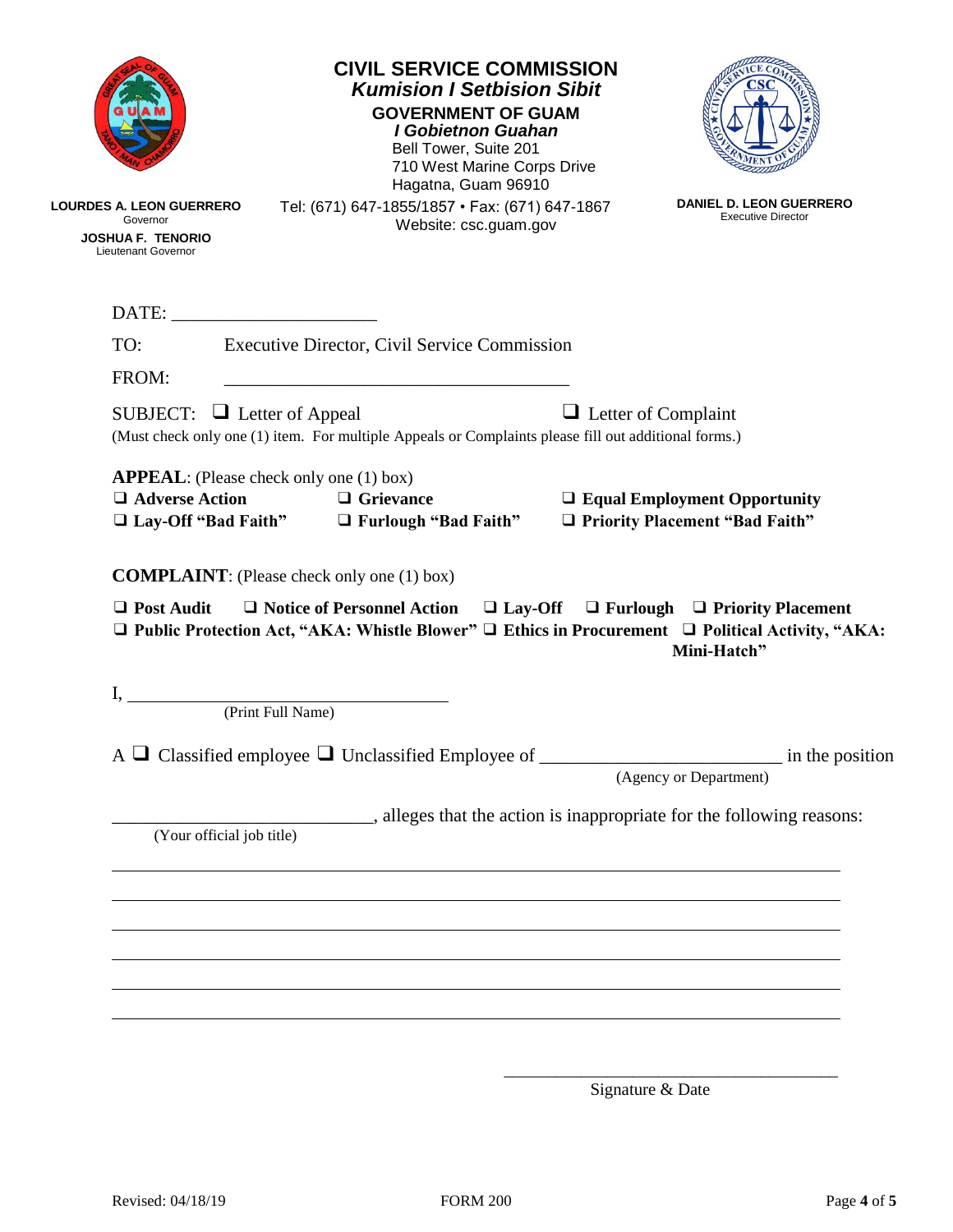|                                                                                         |                                                 |                   | <b>GOVERNMENT OF GUAM</b><br><b>I Gobietnon Guahan</b><br>Bell Tower, Suite 201<br>Hagatna, Guam 96910 | <b>CIVIL SERVICE COMMISSION</b><br><b>Kumision I Setbision Sibit</b><br>710 West Marine Corps Drive  |                                                                                                                                             |
|-----------------------------------------------------------------------------------------|-------------------------------------------------|-------------------|--------------------------------------------------------------------------------------------------------|------------------------------------------------------------------------------------------------------|---------------------------------------------------------------------------------------------------------------------------------------------|
| LOURDES A. LEON GUERRERO<br>Governor<br><b>JOSHUA F. TENORIO</b><br>Lieutenant Governor |                                                 |                   | Website: csc.guam.gov                                                                                  | Tel: (671) 647-1855/1857 • Fax: (671) 647-1867                                                       | <b>DANIEL D. LEON GUERRERO</b><br><b>Executive Director</b>                                                                                 |
|                                                                                         |                                                 |                   |                                                                                                        |                                                                                                      |                                                                                                                                             |
| TO:                                                                                     |                                                 |                   | <b>Executive Director, Civil Service Commission</b>                                                    |                                                                                                      |                                                                                                                                             |
| FROM:<br>SUBJECT: $\Box$ Letter of Appeal                                               |                                                 |                   |                                                                                                        | (Must check only one (1) item. For multiple Appeals or Complaints please fill out additional forms.) | $\Box$ Letter of Complaint                                                                                                                  |
| $\Box$ Adverse Action                                                                   | <b>APPEAL</b> : (Please check only one (1) box) |                   | $\Box$ Grievance<br>$\Box$ Lay-Off "Bad Faith" $\Box$ Furlough "Bad Faith"                             |                                                                                                      | $\Box$ Equal Employment Opportunity<br>□ Priority Placement "Bad Faith"                                                                     |
| $\Box$ Post Audit                                                                       |                                                 |                   | <b>COMPLAINT:</b> (Please check only one (1) box)                                                      |                                                                                                      | $\Box$ Notice of Personnel Action $\Box$ Lay-Off $\Box$ Furlough $\Box$ Priority Placement<br>Mini-Hatch"                                   |
| $\mathbf{I}_{\mathbf{A}}$                                                               |                                                 | (Print Full Name) |                                                                                                        |                                                                                                      |                                                                                                                                             |
|                                                                                         |                                                 |                   |                                                                                                        |                                                                                                      | $\Box$ Public Protection Act, "AKA: Whistle Blower" $\Box$ Ethics in Procurement $\Box$ Political Activity, "AKA:<br>(Agency or Department) |
|                                                                                         | (Your official job title)                       |                   |                                                                                                        |                                                                                                      | alleges that the action is inappropriate for the following reasons:                                                                         |
|                                                                                         |                                                 |                   |                                                                                                        |                                                                                                      |                                                                                                                                             |
|                                                                                         |                                                 |                   |                                                                                                        |                                                                                                      |                                                                                                                                             |
|                                                                                         |                                                 |                   |                                                                                                        |                                                                                                      |                                                                                                                                             |

Signature & Date